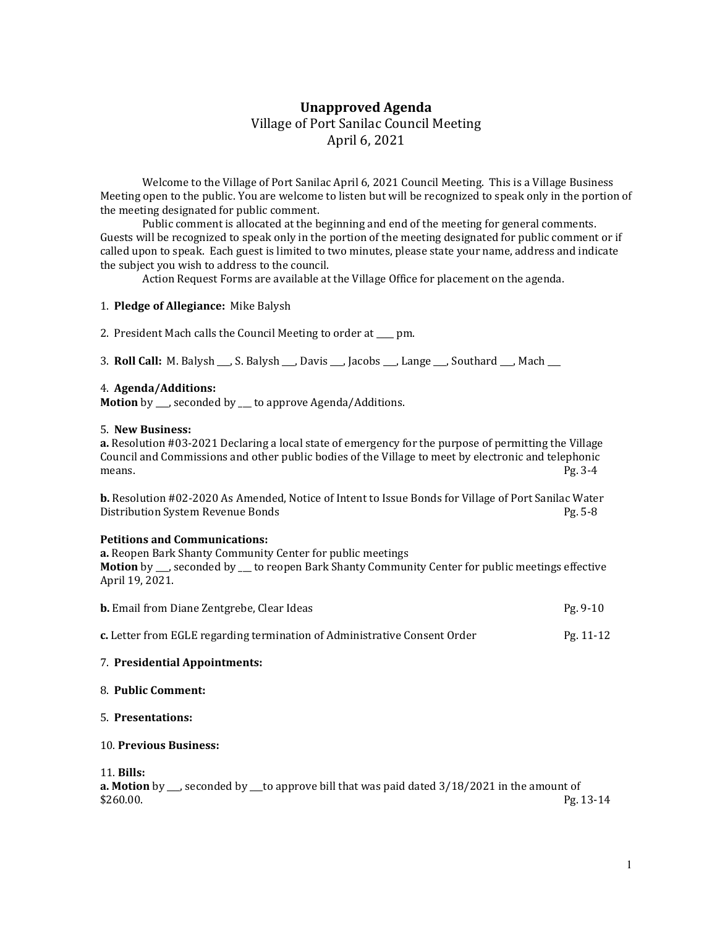# Unapproved Agenda Village of Port Sanilac Council Meeting April 6, 2021

 Welcome to the Village of Port Sanilac April 6, 2021 Council Meeting. This is a Village Business Meeting open to the public. You are welcome to listen but will be recognized to speak only in the portion of the meeting designated for public comment.

 Public comment is allocated at the beginning and end of the meeting for general comments. Guests will be recognized to speak only in the portion of the meeting designated for public comment or if called upon to speak. Each guest is limited to two minutes, please state your name, address and indicate the subject you wish to address to the council.

Action Request Forms are available at the Village Office for placement on the agenda.

## 1. Pledge of Allegiance: Mike Balysh

2. President Mach calls the Council Meeting to order at pm.

3. Roll Call: M. Balysh \_\_\_, S. Balysh \_\_\_, Davis \_\_\_, Jacobs \_\_\_, Lange \_\_\_, Southard \_\_\_, Mach \_\_\_

#### 4. Agenda/Additions:

Motion by \_\_, seconded by \_\_ to approve Agenda/Additions.

#### 5. New Business:

a. Resolution #03-2021 Declaring a local state of emergency for the purpose of permitting the Village Council and Commissions and other public bodies of the Village to meet by electronic and telephonic means. Pg. 3-4

b. Resolution #02-2020 As Amended, Notice of Intent to Issue Bonds for Village of Port Sanilac Water Distribution System Revenue Bonds **Pg. 5-8** Pg. 5-8

## Petitions and Communications:

a. Reopen Bark Shanty Community Center for public meetings Motion by \_\_, seconded by \_\_ to reopen Bark Shanty Community Center for public meetings effective April 19, 2021.

| <b>b.</b> Email from Diane Zentgrebe, Clear Ideas                         | Pg. 9-10    |
|---------------------------------------------------------------------------|-------------|
| c. Letter from EGLE regarding termination of Administrative Consent Order | $Pg. 11-12$ |

## 7. Presidential Appointments:

## 8. Public Comment:

## 5. Presentations:

## 10. Previous Business:

## 11. Bills:

**a. Motion** by  $\mu$ , seconded by  $\mu$  to approve bill that was paid dated  $3/18/2021$  in the amount of  $$260.00.$  Pg. 13-14